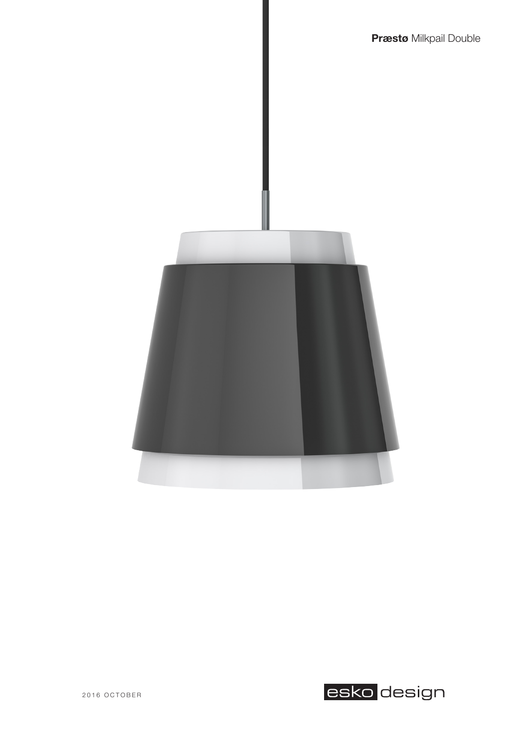